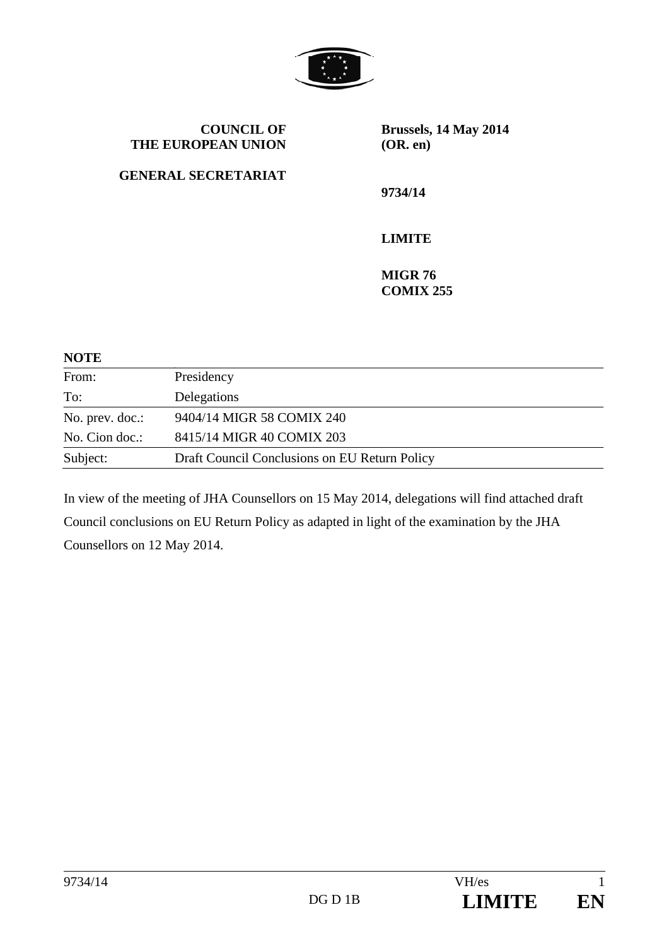

| <b>COUNCIL OF</b><br>THE EUROPEAN UNION | Brussels, 14 May 2014<br>(OR. en)  |
|-----------------------------------------|------------------------------------|
| <b>GENERAL SECRETARIAT</b>              | 9734/14                            |
|                                         | <b>LIMITE</b>                      |
|                                         | <b>MIGR 76</b><br><b>COMIX 255</b> |

**NOTE** 

| From:           | Presidency                                    |
|-----------------|-----------------------------------------------|
| To:             | Delegations                                   |
| No. prev. doc.: | 9404/14 MIGR 58 COMIX 240                     |
| No. Cion doc.:  | 8415/14 MIGR 40 COMIX 203                     |
| Subject:        | Draft Council Conclusions on EU Return Policy |
|                 |                                               |

In view of the meeting of JHA Counsellors on 15 May 2014, delegations will find attached draft Council conclusions on EU Return Policy as adapted in light of the examination by the JHA Counsellors on 12 May 2014.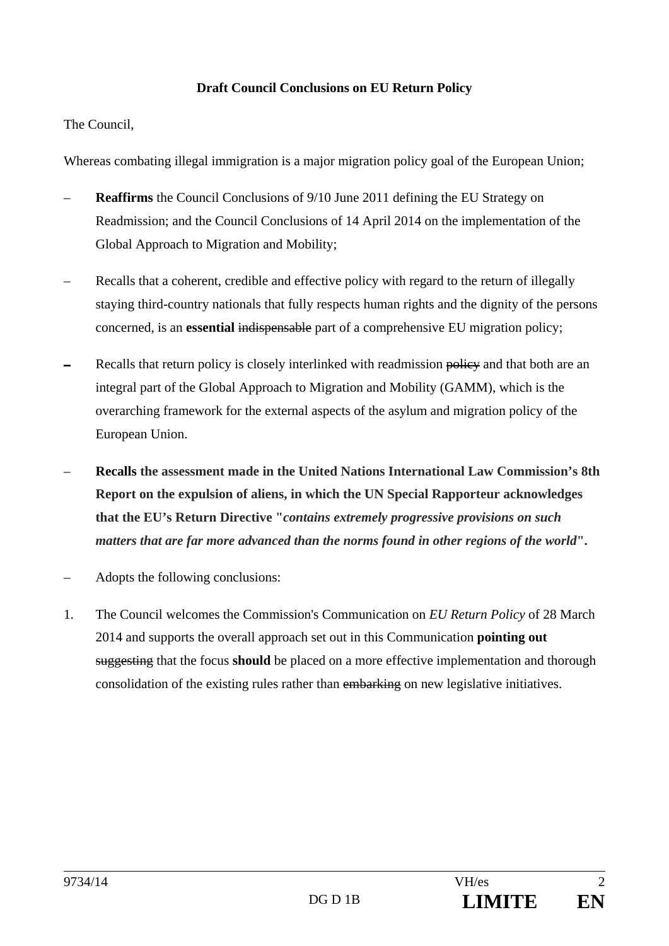## **Draft Council Conclusions on EU Return Policy**

The Council,

Whereas combating illegal immigration is a major migration policy goal of the European Union;

- **Reaffirms** the Council Conclusions of 9/10 June 2011 defining the EU Strategy on Readmission; and the Council Conclusions of 14 April 2014 on the implementation of the Global Approach to Migration and Mobility;
- Recalls that a coherent, credible and effective policy with regard to the return of illegally staying third-country nationals that fully respects human rights and the dignity of the persons concerned, is an **essential** indispensable part of a comprehensive EU migration policy;
- Recalls that return policy is closely interlinked with readmission policy and that both are an integral part of the Global Approach to Migration and Mobility (GAMM), which is the overarching framework for the external aspects of the asylum and migration policy of the European Union.
- **Recalls the assessment made in the United Nations International Law Commission's 8th Report on the expulsion of aliens, in which the UN Special Rapporteur acknowledges that the EU's Return Directive "***contains extremely progressive provisions on such matters that are far more advanced than the norms found in other regions of the world***".**
- Adopts the following conclusions:
- 1. The Council welcomes the Commission's Communication on *EU Return Policy* of 28 March 2014 and supports the overall approach set out in this Communication **pointing out**  suggesting that the focus **should** be placed on a more effective implementation and thorough consolidation of the existing rules rather than embarking on new legislative initiatives.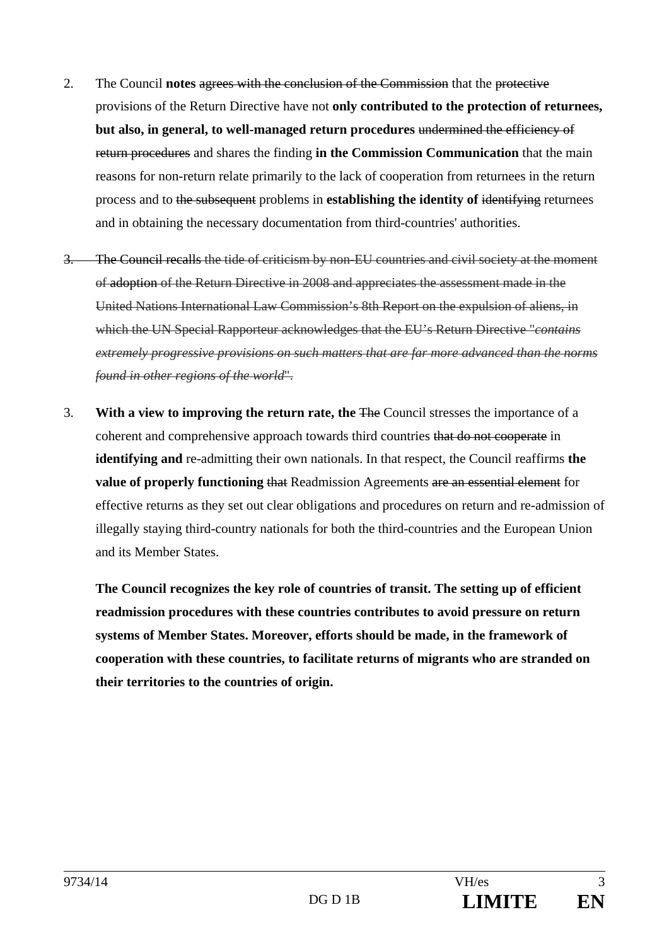- 2. The Council **notes** agrees with the conclusion of the Commission that the protective provisions of the Return Directive have not **only contributed to the protection of returnees, but also, in general, to well-managed return procedures** undermined the efficiency of return procedures and shares the finding **in the Commission Communication** that the main reasons for non-return relate primarily to the lack of cooperation from returnees in the return process and to the subsequent problems in **establishing the identity of** identifying returnees and in obtaining the necessary documentation from third-countries' authorities.
- 3. The Council recalls the tide of criticism by non-EU countries and civil society at the moment of adoption of the Return Directive in 2008 and appreciates the assessment made in the United Nations International Law Commission's 8th Report on the expulsion of aliens, in which the UN Special Rapporteur acknowledges that the EU's Return Directive "*contains extremely progressive provisions on such matters that are far more advanced than the norms found in other regions of the world*".
- 3. **With a view to improving the return rate, the** The Council stresses the importance of a coherent and comprehensive approach towards third countries that do not cooperate in **identifying and** re-admitting their own nationals. In that respect, the Council reaffirms **the value of properly functioning that Readmission Agreements are an essential element for** effective returns as they set out clear obligations and procedures on return and re-admission of illegally staying third-country nationals for both the third-countries and the European Union and its Member States.

**The Council recognizes the key role of countries of transit. The setting up of efficient readmission procedures with these countries contributes to avoid pressure on return systems of Member States. Moreover, efforts should be made, in the framework of cooperation with these countries, to facilitate returns of migrants who are stranded on their territories to the countries of origin.**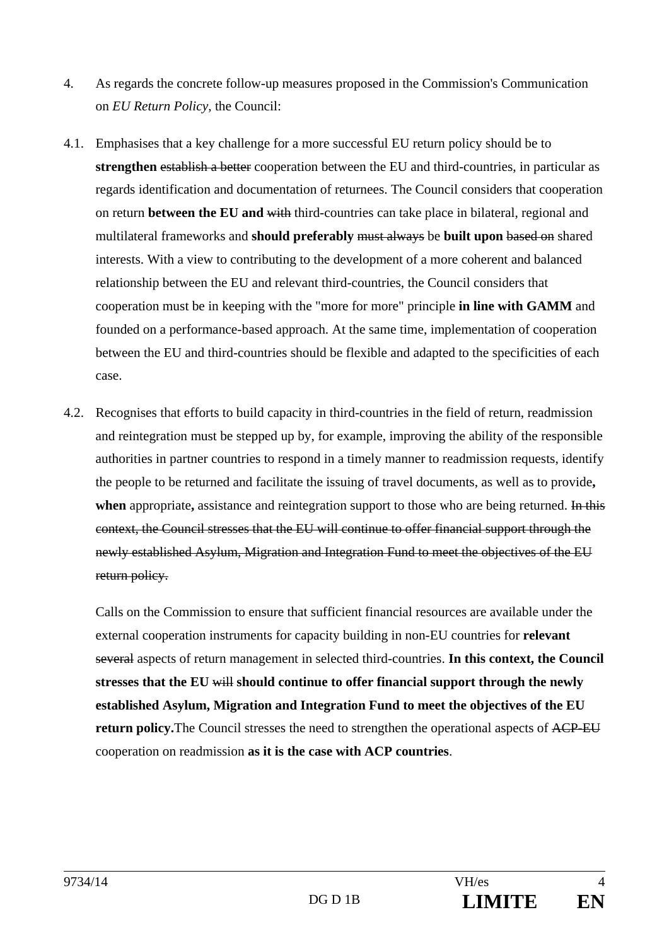- 4. As regards the concrete follow-up measures proposed in the Commission's Communication on *EU Return Policy*, the Council:
- 4.1. Emphasises that a key challenge for a more successful EU return policy should be to **strengthen** establish a better cooperation between the EU and third-countries, in particular as regards identification and documentation of returnees. The Council considers that cooperation on return **between the EU and** with third-countries can take place in bilateral, regional and multilateral frameworks and **should preferably** must always be **built upon** based on shared interests. With a view to contributing to the development of a more coherent and balanced relationship between the EU and relevant third-countries, the Council considers that cooperation must be in keeping with the "more for more" principle **in line with GAMM** and founded on a performance-based approach. At the same time, implementation of cooperation between the EU and third-countries should be flexible and adapted to the specificities of each case.
- 4.2. Recognises that efforts to build capacity in third-countries in the field of return, readmission and reintegration must be stepped up by, for example, improving the ability of the responsible authorities in partner countries to respond in a timely manner to readmission requests, identify the people to be returned and facilitate the issuing of travel documents, as well as to provide**, when** appropriate, assistance and reintegration support to those who are being returned. In this context, the Council stresses that the EU will continue to offer financial support through the newly established Asylum, Migration and Integration Fund to meet the objectives of the EU return policy.

Calls on the Commission to ensure that sufficient financial resources are available under the external cooperation instruments for capacity building in non-EU countries for **relevant**  several aspects of return management in selected third-countries. **In this context, the Council stresses that the EU** will **should continue to offer financial support through the newly established Asylum, Migration and Integration Fund to meet the objectives of the EU return policy.**The Council stresses the need to strengthen the operational aspects of ACP-EU cooperation on readmission **as it is the case with ACP countries**.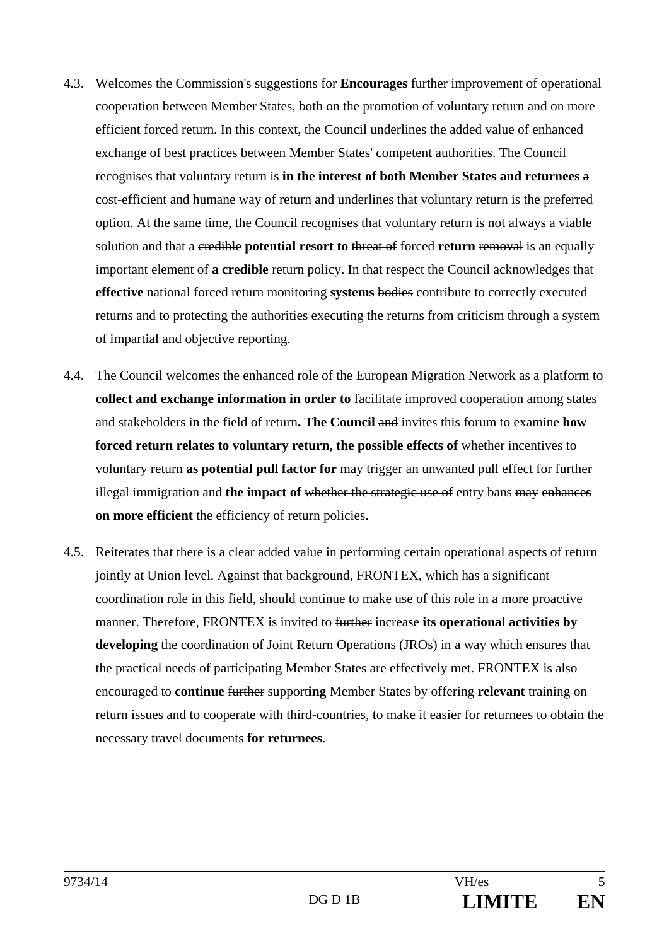- 4.3. Welcomes the Commission's suggestions for **Encourages** further improvement of operational cooperation between Member States, both on the promotion of voluntary return and on more efficient forced return. In this context, the Council underlines the added value of enhanced exchange of best practices between Member States' competent authorities. The Council recognises that voluntary return is **in the interest of both Member States and returnees** a cost-efficient and humane way of return and underlines that voluntary return is the preferred option. At the same time, the Council recognises that voluntary return is not always a viable solution and that a credible **potential resort to** threat of forced **return** removal is an equally important element of **a credible** return policy. In that respect the Council acknowledges that **effective** national forced return monitoring **systems** bodies contribute to correctly executed returns and to protecting the authorities executing the returns from criticism through a system of impartial and objective reporting.
- 4.4. The Council welcomes the enhanced role of the European Migration Network as a platform to **collect and exchange information in order to** facilitate improved cooperation among states and stakeholders in the field of return**. The Council** and invites this forum to examine **how forced return relates to voluntary return, the possible effects of** whether incentives to voluntary return **as potential pull factor for** may trigger an unwanted pull effect for further illegal immigration and **the impact of** whether the strategic use of entry bans may enhance**s on more efficient the efficiency of return policies.**
- 4.5. Reiterates that there is a clear added value in performing certain operational aspects of return jointly at Union level. Against that background, FRONTEX, which has a significant coordination role in this field, should continue to make use of this role in a more proactive manner. Therefore, FRONTEX is invited to further increase **its operational activities by developing** the coordination of Joint Return Operations (JROs) in a way which ensures that the practical needs of participating Member States are effectively met. FRONTEX is also encouraged to **continue** further support**ing** Member States by offering **relevant** training on return issues and to cooperate with third-countries, to make it easier for returnees to obtain the necessary travel documents **for returnees**.